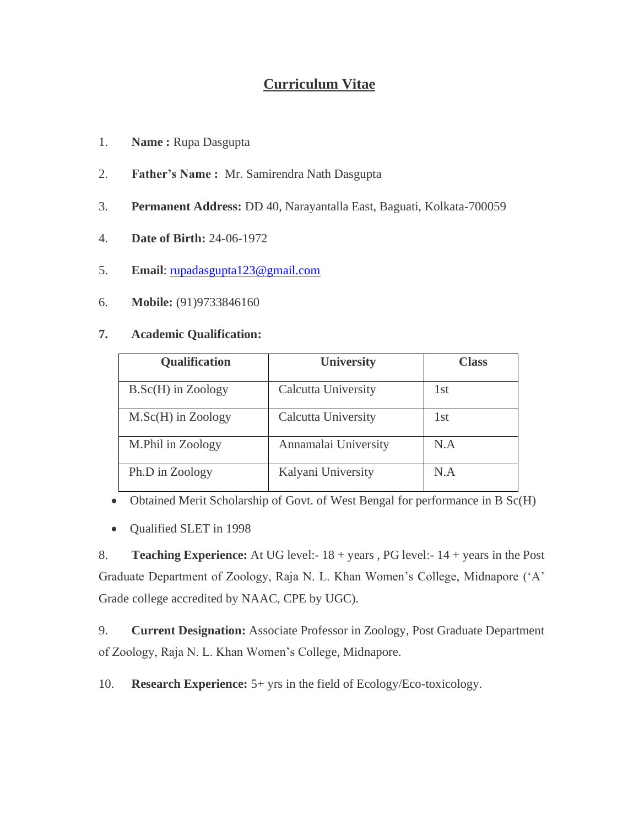## **Curriculum Vitae**

- 1. **Name :** Rupa Dasgupta
- 2. **Father's Name :** Mr. Samirendra Nath Dasgupta
- 3. **Permanent Address:** DD 40, Narayantalla East, Baguati, Kolkata-700059
- 4. **Date of Birth:** 24-06-1972
- 5. **Email**: [rupadasgupta123@gmail.com](mailto:rupadasgupta123@gmail.com)
- 6. **Mobile:** (91)9733846160

## **7. Academic Qualification:**

| <b>Qualification</b> | <b>University</b>          | <b>Class</b> |  |
|----------------------|----------------------------|--------------|--|
| $B.Sc(H)$ in Zoology | Calcutta University        | 1st          |  |
| $M.Sc(H)$ in Zoology | <b>Calcutta University</b> | 1st          |  |
| M.Phil in Zoology    | Annamalai University       | N.A          |  |
| Ph.D in Zoology      | Kalyani University         | N.A          |  |

- Obtained Merit Scholarship of Govt. of West Bengal for performance in B Sc(H)
- Qualified SLET in 1998

8. **Teaching Experience:** At UG level:- 18 + years , PG level:- 14 + years in the Post Graduate Department of Zoology, Raja N. L. Khan Women's College, Midnapore ('A' Grade college accredited by NAAC, CPE by UGC).

9. **Current Designation:** Associate Professor in Zoology, Post Graduate Department of Zoology, Raja N. L. Khan Women's College, Midnapore.

10. **Research Experience:** 5+ yrs in the field of Ecology/Eco-toxicology.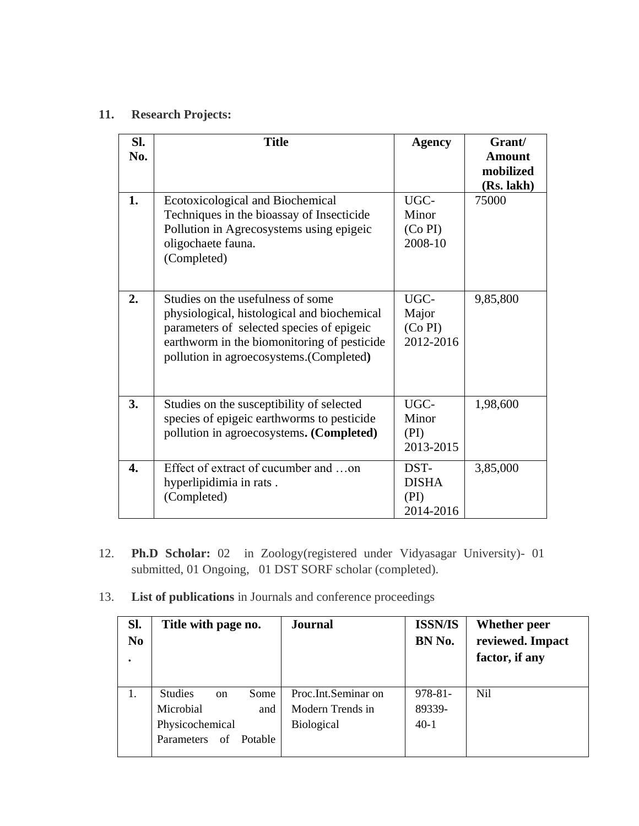## **11. Research Projects:**

| SI.<br>No. | <b>Title</b>                                                                                                                                                                                                            | <b>Agency</b>                             | Grant/<br>Amount<br>mobilized |
|------------|-------------------------------------------------------------------------------------------------------------------------------------------------------------------------------------------------------------------------|-------------------------------------------|-------------------------------|
| 1.         | Ecotoxicological and Biochemical<br>Techniques in the bioassay of Insecticide<br>Pollution in Agrecosystems using epigeic<br>oligochaete fauna.<br>(Completed)                                                          | UGC-<br>Minor<br>(Co PI)<br>2008-10       | (Rs. lakh)<br>75000           |
| 2.         | Studies on the usefulness of some<br>physiological, histological and biochemical<br>parameters of selected species of epigeic<br>earthworm in the biomonitoring of pesticide<br>pollution in agroecosystems.(Completed) | UGC-<br>Major<br>(Co PI)<br>2012-2016     | 9,85,800                      |
| 3.         | Studies on the susceptibility of selected<br>species of epigeic earthworms to pesticide<br>pollution in agroecosystems. (Completed)                                                                                     | UGC-<br>Minor<br>(PI)<br>2013-2015        | 1,98,600                      |
| 4.         | Effect of extract of cucumber and on<br>hyperlipidimia in rats.<br>(Completed)                                                                                                                                          | DST-<br><b>DISHA</b><br>(PI)<br>2014-2016 | 3,85,000                      |

- 12. **Ph.D Scholar:** 02 in Zoology(registered under Vidyasagar University)- 01 submitted, 01 Ongoing, 01 DST SORF scholar (completed).
- 13. **List of publications** in Journals and conference proceedings

| SI.<br>N <sub>0</sub> | Title with page no.                     | <b>Journal</b>      | <b>ISSN/IS</b><br>BN No. | <b>Whether peer</b><br>reviewed. Impact<br>factor, if any |
|-----------------------|-----------------------------------------|---------------------|--------------------------|-----------------------------------------------------------|
| 1.                    | <b>Studies</b><br>Some<br><sub>on</sub> | Proc.Int.Seminar on | $978 - 81 -$             | Nil                                                       |
|                       | Microbial<br>and                        | Modern Trends in    | 89339-                   |                                                           |
|                       | Physicochemical                         | <b>Biological</b>   | $40-1$                   |                                                           |
|                       | Potable<br>Parameters<br>of             |                     |                          |                                                           |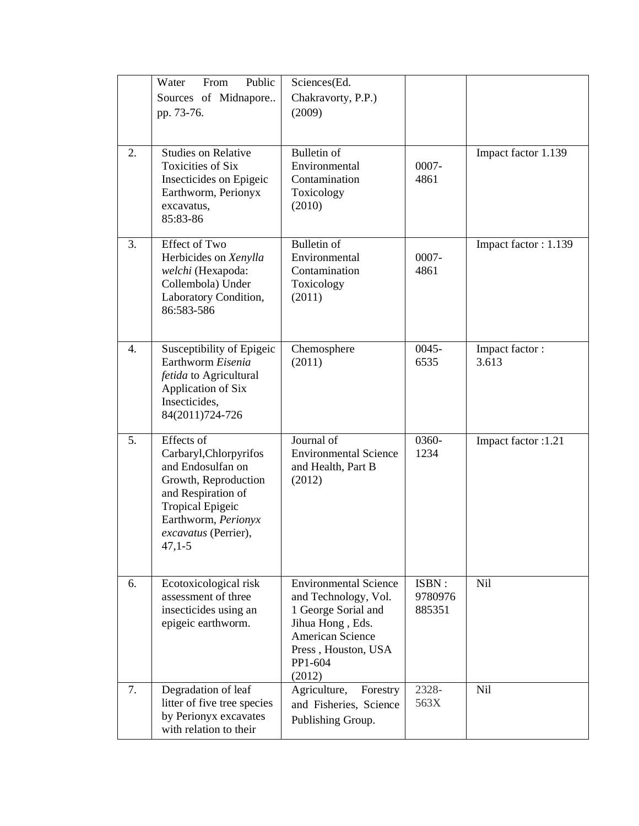|                  | Water<br>From<br>Public<br>Sources of Midnapore<br>pp. 73-76.                                                                                                                                 | Sciences(Ed.<br>Chakravorty, P.P.)<br>(2009)                                                                                                                    |                            |                         |
|------------------|-----------------------------------------------------------------------------------------------------------------------------------------------------------------------------------------------|-----------------------------------------------------------------------------------------------------------------------------------------------------------------|----------------------------|-------------------------|
| 2.               | <b>Studies on Relative</b><br><b>Toxicities of Six</b><br>Insecticides on Epigeic<br>Earthworm, Perionyx<br>excavatus,<br>85:83-86                                                            | <b>Bulletin of</b><br>Environmental<br>Contamination<br>Toxicology<br>(2010)                                                                                    | 0007-<br>4861              | Impact factor 1.139     |
| 3.               | <b>Effect of Two</b><br>Herbicides on Xenylla<br>welchi (Hexapoda:<br>Collembola) Under<br>Laboratory Condition,<br>86:583-586                                                                | Bulletin of<br>Environmental<br>Contamination<br>Toxicology<br>(2011)                                                                                           | 0007-<br>4861              | Impact factor: 1.139    |
| $\overline{4}$ . | Susceptibility of Epigeic<br>Earthworm Eisenia<br>fetida to Agricultural<br>Application of Six<br>Insecticides,<br>84(2011)724-726                                                            | Chemosphere<br>(2011)                                                                                                                                           | $0045 -$<br>6535           | Impact factor:<br>3.613 |
| 5.               | Effects of<br>Carbaryl, Chlorpyrifos<br>and Endosulfan on<br>Growth, Reproduction<br>and Respiration of<br><b>Tropical Epigeic</b><br>Earthworm, Perionyx<br>excavatus (Perrier),<br>$47,1-5$ | Journal of<br><b>Environmental Science</b><br>and Health, Part B<br>(2012)                                                                                      | 0360-<br>1234              | Impact factor :1.21     |
| 6.               | Ecotoxicological risk<br>assessment of three<br>insecticides using an<br>epigeic earthworm.                                                                                                   | <b>Environmental Science</b><br>and Technology, Vol.<br>1 George Sorial and<br>Jihua Hong, Eds.<br>American Science<br>Press, Houston, USA<br>PP1-604<br>(2012) | ISBN:<br>9780976<br>885351 | <b>Nil</b>              |
| 7.               | Degradation of leaf<br>litter of five tree species<br>by Perionyx excavates<br>with relation to their                                                                                         | Agriculture,<br>Forestry<br>and Fisheries, Science<br>Publishing Group.                                                                                         | 2328-<br>563X              | <b>Nil</b>              |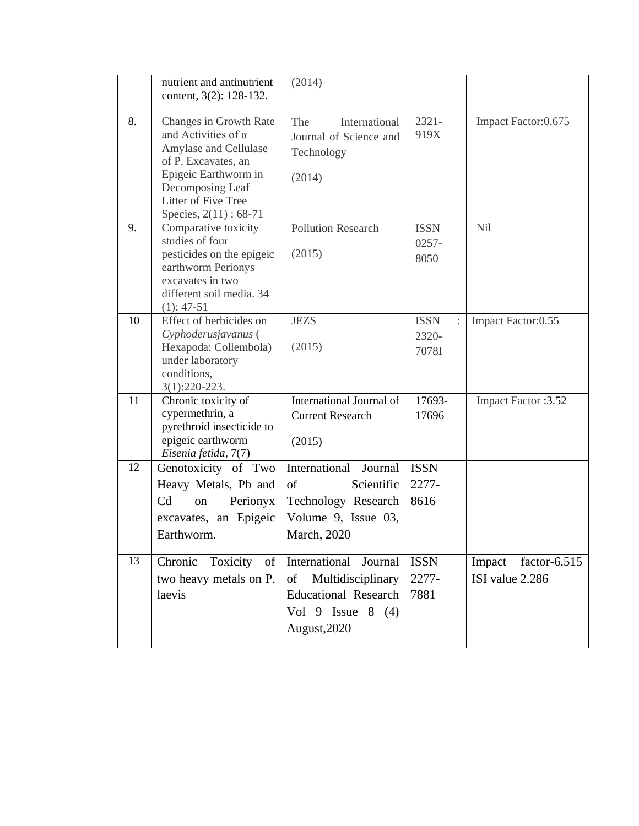|    | nutrient and antinutrient<br>content, 3(2): 128-132.                                                                                                                                             | (2014)                                                                                                                   |                                                 |                                              |
|----|--------------------------------------------------------------------------------------------------------------------------------------------------------------------------------------------------|--------------------------------------------------------------------------------------------------------------------------|-------------------------------------------------|----------------------------------------------|
| 8. | Changes in Growth Rate<br>and Activities of $\alpha$<br>Amylase and Cellulase<br>of P. Excavates, an<br>Epigeic Earthworm in<br>Decomposing Leaf<br>Litter of Five Tree<br>Species, 2(11): 68-71 | The<br>International<br>Journal of Science and<br>Technology<br>(2014)                                                   | $2321 -$<br>919X                                | Impact Factor: 0.675                         |
| 9. | Comparative toxicity<br>studies of four<br>pesticides on the epigeic<br>earthworm Perionys<br>excavates in two<br>different soil media. 34<br>$(1): 47-51$                                       | <b>Pollution Research</b><br>(2015)                                                                                      | <b>ISSN</b><br>$0257 -$<br>8050                 | Nil                                          |
| 10 | Effect of herbicides on<br>Cyphoderusjavanus (<br>Hexapoda: Collembola)<br>under laboratory<br>conditions,<br>$3(1):220-223.$                                                                    | <b>JEZS</b><br>(2015)                                                                                                    | <b>ISSN</b><br>$\ddot{\cdot}$<br>2320-<br>7078I | Impact Factor:0.55                           |
| 11 | Chronic toxicity of<br>cypermethrin, a<br>pyrethroid insecticide to<br>epigeic earthworm<br>Eisenia fetida, 7(7)                                                                                 | International Journal of<br><b>Current Research</b><br>(2015)                                                            | 17693-<br>17696                                 | Impact Factor : 3.52                         |
| 12 | Genotoxicity of Two<br>Heavy Metals, Pb and<br>C <sub>d</sub><br>Perionyx<br>on<br>excavates, an Epigeic<br>Earthworm.                                                                           | International<br>Journal<br>of<br>Scientific<br>Technology Research<br>Volume 9, Issue 03,<br>March, 2020                | <b>ISSN</b><br>2277-<br>8616                    |                                              |
| 13 | Chronic<br>Toxicity<br>of<br>two heavy metals on P.<br>laevis                                                                                                                                    | International<br>Journal<br>of<br>Multidisciplinary<br><b>Educational Research</b><br>Vol 9 Issue $8(4)$<br>August, 2020 | <b>ISSN</b><br>2277-<br>7881                    | Impact<br>factor- $6.515$<br>ISI value 2.286 |